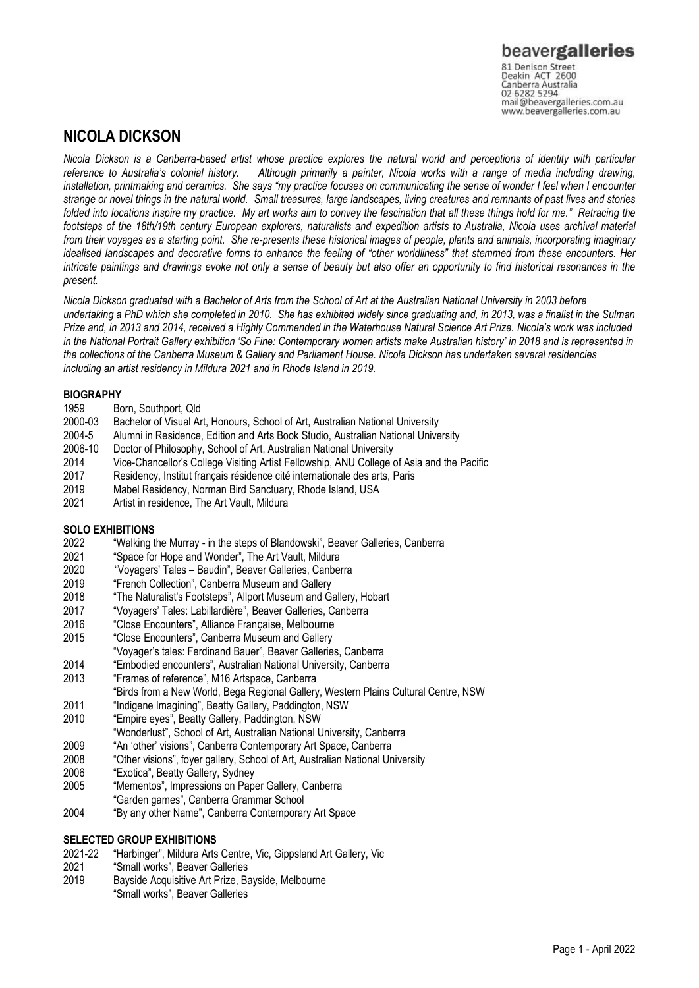Canberra Australia<br>02 6282 5294 mail@beavergalleries.com.au www.beavergalleries.com.au

## **NICOLA DICKSON**

*Nicola Dickson is a Canberra-based artist whose practice explores the natural world and perceptions of identity with particular reference to Australia's colonial history. Although primarily a painter, Nicola works with a range of media including drawing, installation, printmaking and ceramics. She says "my practice focuses on communicating the sense of wonder I feel when I encounter strange or novel things in the natural world. Small treasures, large landscapes, living creatures and remnants of past lives and stories folded into locations inspire my practice. My art works aim to convey the fascination that all these things hold for me." Retracing the footsteps of the 18th/19th century European explorers, naturalists and expedition artists to Australia, Nicola uses archival material from their voyages as a starting point. She re-presents these historical images of people, plants and animals, incorporating imaginary idealised landscapes and decorative forms to enhance the feeling of "other worldliness" that stemmed from these encounters. Her intricate paintings and drawings evoke not only a sense of beauty but also offer an opportunity to find historical resonances in the present.*

*Nicola Dickson graduated with a Bachelor of Arts from the School of Art at the Australian National University in 2003 before undertaking a PhD which she completed in 2010. She has exhibited widely since graduating and, in 2013, was a finalist in the Sulman Prize and, in 2013 and 2014, received a Highly Commended in the Waterhouse Natural Science Art Prize. Nicola's work was included in the National Portrait Gallery exhibition 'So Fine: Contemporary women artists make Australian history' in 2018 and is represented in the collections of the Canberra Museum & Gallery and Parliament House. Nicola Dickson has undertaken several residencies including an artist residency in Mildura 2021 and in Rhode Island in 2019.*

### **BIOGRAPHY**

- 1959 Born, Southport, Qld<br>2000-03 Bachelor of Visual Ar
- Bachelor of Visual Art, Honours, School of Art, Australian National University
- 2004-5 Alumni in Residence, Edition and Arts Book Studio, Australian National University
- 2006-10 Doctor of Philosophy, School of Art, Australian National University<br>2014 Vice-Chancellor's College Visiting Artist Fellowship, ANU College
- 2014 Vice-Chancellor's College Visiting Artist Fellowship, ANU College of Asia and the Pacific<br>2017 Residency Institut francais résidence cité internationale des arts Paris
- Residency, Institut français résidence cité internationale des arts, Paris
- 2019 Mabel Residency, Norman Bird Sanctuary, Rhode Island, USA
- 2021 Artist in residence, The Art Vault, Mildura

### **SOLO EXHIBITIONS**

- 2022 "Walking the Murray in the steps of Blandowski", Beaver Galleries, Canberra
- 2021 "Space for Hope and Wonder", The Art Vault, Mildura
- "Voyagers' Tales Baudin", Beaver Galleries, Canberra
- 2019 "French Collection", Canberra Museum and Gallery
- 2018 "The Naturalist's Footsteps", Allport Museum and Gallery, Hobart<br>2017 "Vovagers' Tales: Labillardière", Beaver Galleries, Canberra
- 2017 "Voyagers' Tales: Labillardière", Beaver Galleries, Canberra
- 2016 "Close Encounters", Alliance Française, Melbourne
- 2015 "Close Encounters", Canberra Museum and Gallery
- "Voyager's tales: Ferdinand Bauer", Beaver Galleries, Canberra
- 2014 "Embodied encounters", Australian National University, Canberra
- 2013 "Frames of reference", M16 Artspace, Canberra
- "Birds from a New World, Bega Regional Gallery, Western Plains Cultural Centre, NSW
- 2011 "Indigene Imagining", Beatty Gallery, Paddington, NSW
- 2010 "Empire eyes", Beatty Gallery, Paddington, NSW
- "Wonderlust", School of Art, Australian National University, Canberra
- 2009 "An 'other' visions", Canberra Contemporary Art Space, Canberra
- 2008 "Other visions", foyer gallery, School of Art, Australian National University
- 2006 "Exotica", Beatty Gallery, Sydney
- 2005 "Mementos", Impressions on Paper Gallery, Canberra
- "Garden games", Canberra Grammar School
- 2004 "By any other Name", Canberra Contemporary Art Space

### **SELECTED GROUP EXHIBITIONS**

- 2021-22 "Harbinger", Mildura Arts Centre, Vic, Gippsland Art Gallery, Vic
- 2021 "Small works", Beaver Galleries
- 2019 Bayside Acquisitive Art Prize, Bayside, Melbourne "Small works", Beaver Galleries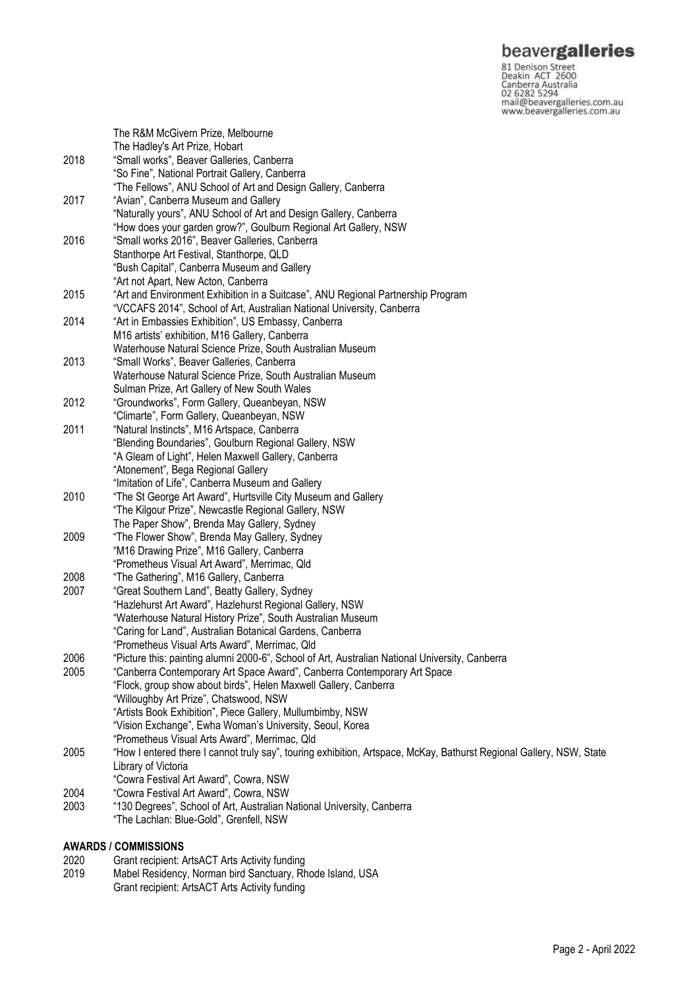## beavergalleries

**SCOVET SCILLERS**<br>
S1 Denison Street<br>
Deakin ACT 2600<br>
Canberra Australia<br>
02 6282 5294<br>
mail@beavergalleries.com.au<br>
www.beavergalleries.com.au

|      | The R&M McGivern Prize, Melbourne                                                                                    |
|------|----------------------------------------------------------------------------------------------------------------------|
|      | The Hadley's Art Prize, Hobart                                                                                       |
| 2018 | "Small works", Beaver Galleries, Canberra                                                                            |
|      | "So Fine", National Portrait Gallery, Canberra                                                                       |
|      | "The Fellows", ANU School of Art and Design Gallery, Canberra                                                        |
| 2017 | "Avian", Canberra Museum and Gallery                                                                                 |
|      | "Naturally yours", ANU School of Art and Design Gallery, Canberra                                                    |
|      | "How does your garden grow?", Goulburn Regional Art Gallery, NSW                                                     |
| 2016 | "Small works 2016", Beaver Galleries, Canberra                                                                       |
|      | Stanthorpe Art Festival, Stanthorpe, QLD                                                                             |
|      |                                                                                                                      |
|      | "Bush Capital", Canberra Museum and Gallery                                                                          |
|      | "Art not Apart, New Acton, Canberra                                                                                  |
| 2015 | "Art and Environment Exhibition in a Suitcase", ANU Regional Partnership Program                                     |
|      | "VCCAFS 2014", School of Art, Australian National University, Canberra                                               |
| 2014 | "Art in Embassies Exhibition", US Embassy, Canberra                                                                  |
|      | M16 artists' exhibition, M16 Gallery, Canberra                                                                       |
|      | Waterhouse Natural Science Prize, South Australian Museum                                                            |
| 2013 | "Small Works", Beaver Galleries, Canberra                                                                            |
|      | Waterhouse Natural Science Prize, South Australian Museum                                                            |
|      | Sulman Prize, Art Gallery of New South Wales                                                                         |
| 2012 | "Groundworks", Form Gallery, Queanbeyan, NSW                                                                         |
|      | "Climarte", Form Gallery, Queanbeyan, NSW                                                                            |
| 2011 | "Natural Instincts", M16 Artspace, Canberra                                                                          |
|      | "Blending Boundaries", Goulburn Regional Gallery, NSW                                                                |
|      | "A Gleam of Light", Helen Maxwell Gallery, Canberra                                                                  |
|      | "Atonement", Bega Regional Gallery                                                                                   |
|      | "Imitation of Life", Canberra Museum and Gallery                                                                     |
| 2010 | "The St George Art Award", Hurtsville City Museum and Gallery                                                        |
|      | "The Kilgour Prize", Newcastle Regional Gallery, NSW                                                                 |
|      | The Paper Show", Brenda May Gallery, Sydney                                                                          |
| 2009 | "The Flower Show", Brenda May Gallery, Sydney                                                                        |
|      | "M16 Drawing Prize", M16 Gallery, Canberra                                                                           |
|      | "Prometheus Visual Art Award", Merrimac, Qld                                                                         |
| 2008 | "The Gathering", M16 Gallery, Canberra                                                                               |
| 2007 | "Great Southern Land", Beatty Gallery, Sydney                                                                        |
|      | "Hazlehurst Art Award", Hazlehurst Regional Gallery, NSW                                                             |
|      | "Waterhouse Natural History Prize", South Australian Museum                                                          |
|      | "Caring for Land", Australian Botanical Gardens, Canberra                                                            |
|      | "Prometheus Visual Arts Award", Merrimac, Qld                                                                        |
| 2006 | "Picture this: painting alumni 2000-6", School of Art, Australian National University, Canberra                      |
| 2005 | "Canberra Contemporary Art Space Award", Canberra Contemporary Art Space                                             |
|      | "Flock, group show about birds", Helen Maxwell Gallery, Canberra                                                     |
|      | "Willoughby Art Prize", Chatswood, NSW                                                                               |
|      | "Artists Book Exhibition", Piece Gallery, Mullumbimby, NSW                                                           |
|      | "Vision Exchange", Ewha Woman's University, Seoul, Korea                                                             |
|      | "Prometheus Visual Arts Award", Merrimac, Qld                                                                        |
| 2005 | "How I entered there I cannot truly say", touring exhibition, Artspace, McKay, Bathurst Regional Gallery, NSW, State |
|      | Library of Victoria                                                                                                  |
|      | "Cowra Festival Art Award", Cowra, NSW                                                                               |
| 2004 | "Cowra Festival Art Award", Cowra, NSW                                                                               |
| 2003 | "130 Degrees", School of Art, Australian National University, Canberra                                               |
|      | "The Lachlan: Blue-Gold", Grenfell, NSW                                                                              |
|      |                                                                                                                      |

# **AWARDS / COMMISSIONS**

- 2020 Grant recipient: ArtsACT Arts Activity funding<br>2019 Mabel Residency, Norman bird Sanctuary, Rh
- Mabel Residency, Norman bird Sanctuary, Rhode Island, USA Grant recipient: ArtsACT Arts Activity funding